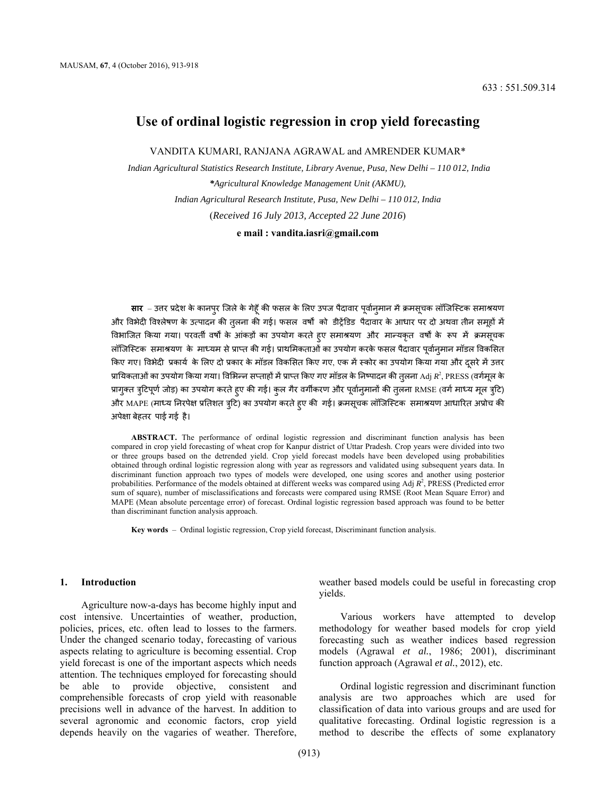# **Use of ordinal logistic regression in crop yield forecasting**

VANDITA KUMARI, RANJANA AGRAWAL and AMRENDER KUMAR\*

 *Indian Agricultural Statistics Research Institute, Library Avenue, Pusa, New Delhi – 110 012, India \*Agricultural Knowledge Management Unit (AKMU), Indian Agricultural Research Institute, Pusa, New Delhi – 110 012, India* (*Received 16 July 2013, Accepted 22 June 2016*) **e mail [: vandita.iasri@gmail.com](mailto:%20vandita.iasri@gmail.com)** 

**सार** – उत्तर प्रदेश के कानपुर जिले के गेहूँ की फसल के लिए उपज पैदावार पूर्वान्**मान में क्रमसूचक लॉजिस्टिक समाश्रय**ण ओर विभेदी विश्लेषण के उत्पादन की त़्लना की गई। फसल वर्षों को डीट्रेंडिड पैदावार के आधार पर दो अथवा तीन समृहों में विभाजित किया गया। परवर्ती वर्षों के आंकड़ों का उपयोग करते हुए समाश्रयण और मान्यकृत वर्षों के रूप में क्रमसूचक लॉजिस्टिक समाश्रयण के माध्यम से प्राप्त की गई। प्राथमिकताओं का उपयोग करके फसल पैदावार पूर्वानृमान मॉडल विकसित किए गए। विभेदी प्रकार्य के लिए दो प्रकार के मॉडल विकसित किए गए, एक में स्कोर का उपयोग किया गया और दूसरे में उत्तर प्रायिकताओं का उपयोग किया गया। विभिन्न सप्ताहों में प्राप्त किए गए मॉडल के निष्पादन की तुलना Adj  $R^2$ , PRESS (वर्गमूल के प्रागुक्त त्रुटिपूर्ण जोड़) का उपयोग करते हुए की गई। कुल गैर वर्गीकरण और पूर्वानुमानों की तुलना RMSE (वर्ग माध्य मूल त्रुटि) और MAPE (माध्य निरपेक्ष प्रतिशत त्रुटि) का उपयोग करते हुए की गई। क्रमसूचक लॉजिस्टिक समाश्रयण आधारित अप्रोच की अपेक्षा बेहतर पाई गई है।

ABSTRACT. The performance of ordinal logistic regression and discriminant function analysis has been compared in crop yield forecasting of wheat crop for Kanpur district of Uttar Pradesh. Crop years were divided into two or three groups based on the detrended yield. Crop yield forecast models have been developed using probabilities obtained through ordinal logistic regression along with year as regressors and validated using subsequent years data. In discriminant function approach two types of models were developed, one using scores and another using posterior probabilities. Performance of the models obtained at different weeks was compared using Adj  $R^2$ , PRESS (Predicted error sum of square), number of misclassifications and forecasts were compared using RMSE (Root Mean Square Error) and MAPE (Mean absolute percentage error) of forecast. Ordinal logistic regression based approach was found to be better than discriminant function analysis approach.

**Key words** – Ordinal logistic regression, Crop yield forecast, Discriminant function analysis.

### **1. Introduction**

Agriculture now-a-days has become highly input and cost intensive. Uncertainties of weather, production, policies, prices, etc. often lead to losses to the farmers. Under the changed scenario today, forecasting of various aspects relating to agriculture is becoming essential. Crop yield forecast is one of the important aspects which needs attention. The techniques employed for forecasting should be able to provide objective, consistent and comprehensible forecasts of crop yield with reasonable precisions well in advance of the harvest. In addition to several agronomic and economic factors, crop yield depends heavily on the vagaries of weather. Therefore,

weather based models could be useful in forecasting crop yields.

Various workers have attempted to develop methodology for weather based models for crop yield forecasting such as weather indices based regression models (Agrawal *et al.*, 1986; 2001), discriminant function approach (Agrawal *et al.*, 2012), etc.

Ordinal logistic regression and discriminant function analysis are two approaches which are used for classification of data into various groups and are used for qualitative forecasting. Ordinal logistic regression is a method to describe the effects of some explanatory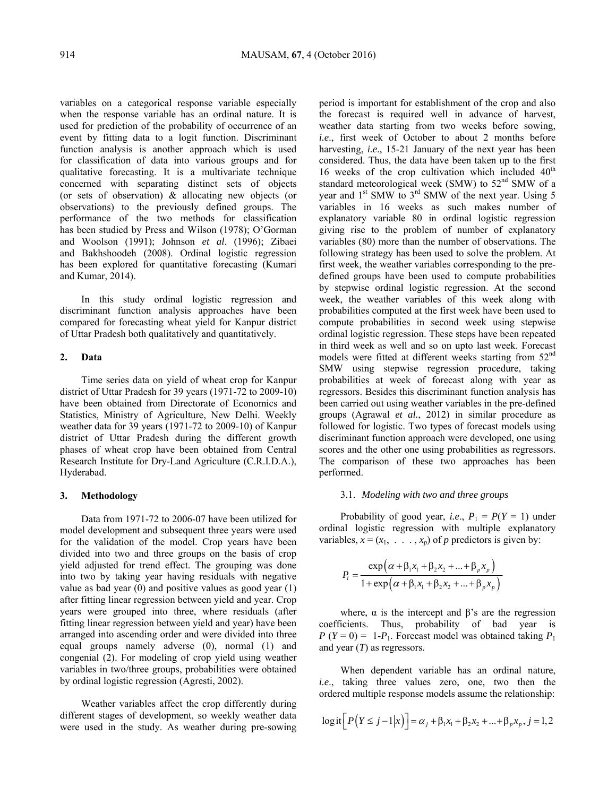variables on a categorical response variable especially when the response variable has an ordinal nature. It is used for prediction of the probability of occurrence of an event by fitting data to a logit function. Discriminant function analysis is another approach which is used for classification of data into various groups and for qualitative forecasting. It is a multivariate technique concerned with separating distinct sets of objects (or sets of observation) & allocating new objects (or observations) to the previously defined groups. The performance of the two methods for classification has been studied by Press and Wilson (1978); O'Gorman and Woolson (1991); Johnson *et al*. (1996); Zibaei and Bakhshoodeh (2008). Ordinal logistic regression has been explored for quantitative forecasting (Kumari and Kumar, 2014).

In this study ordinal logistic regression and discriminant function analysis approaches have been compared for forecasting wheat yield for Kanpur district of Uttar Pradesh both qualitatively and quantitatively.

# **2. Data**

Time series data on yield of wheat crop for Kanpur district of Uttar Pradesh for 39 years (1971-72 to 2009-10) have been obtained from Directorate of Economics and Statistics, Ministry of Agriculture, New Delhi. Weekly weather data for 39 years (1971-72 to 2009-10) of Kanpur district of Uttar Pradesh during the different growth phases of wheat crop have been obtained from Central Research Institute for Dry-Land Agriculture (C.R.I.D.A.), Hyderabad.

### **3. Methodology**

Data from 1971-72 to 2006-07 have been utilized for model development and subsequent three years were used for the validation of the model. Crop years have been divided into two and three groups on the basis of crop yield adjusted for trend effect. The grouping was done into two by taking year having residuals with negative value as bad year  $(0)$  and positive values as good year  $(1)$ after fitting linear regression between yield and year. Crop years were grouped into three, where residuals (after fitting linear regression between yield and year) have been arranged into ascending order and were divided into three equal groups namely adverse (0), normal (1) and congenial (2). For modeling of crop yield using weather variables in two/three groups, probabilities were obtained by ordinal logistic regression (Agresti, 2002).

Weather variables affect the crop differently during different stages of development, so weekly weather data were used in the study. As weather during pre-sowing

 harvesting, *i.e*., 15-21 January of the next year has been standard meteorological week (SMW) to  $52<sup>nd</sup>$  SMW of a explanatory variable 80 in ordinal logistic regression variables (80) more than the number of observations. The following strategy has been used to solve the problem. At period is important for establishment of the crop and also the forecast is required well in advance of harvest, weather data starting from two weeks before sowing, *i.e*., first week of October to about 2 months before considered. Thus, the data have been taken up to the first 16 weeks of the crop cultivation which included  $40<sup>th</sup>$ year and  $1^{st}$  SMW to  $3^{rd}$  SMW of the next year. Using 5 variables in 16 weeks as such makes number of giving rise to the problem of number of explanatory first week, the weather variables corresponding to the predefined groups have been used to compute probabilities by stepwise ordinal logistic regression. At the second week, the weather variables of this week along with probabilities computed at the first week have been used to compute probabilities in second week using stepwise ordinal logistic regression. These steps have been repeated in third week as well and so on upto last week. Forecast models were fitted at different weeks starting from 52<sup>nd</sup> SMW using stepwise regression procedure, taking probabilities at week of forecast along with year as regressors. Besides this discriminant function analysis has been carried out using weather variables in the pre-defined groups (Agrawal *et al.*, 2012) in similar procedure as followed for logistic. Two types of forecast models using discriminant function approach were developed, one using scores and the other one using probabilities as regressors. The comparison of these two approaches has been performed.

#### 3.1. *Modeling with two and three groups*

Probability of good year, *i.e.*,  $P_1 = P(Y = 1)$  under ordinal logistic regression with multiple explanatory variables,  $x = (x_1, \ldots, x_n)$  of *p* predictors is given by:

$$
P_i = \frac{\exp(\alpha + \beta_1 x_1 + \beta_2 x_2 + ... + \beta_p x_p)}{1 + \exp(\alpha + \beta_1 x_1 + \beta_2 x_2 + ... + \beta_p x_p)}
$$

where,  $\alpha$  is the intercept and  $\beta$ 's are the regression coefficients. Thus, probability of bad year is  $P(Y=0) = 1-P_1$ . Forecast model was obtained taking  $P_1$ and year (*T*) as regressors.

When dependent variable has an ordinal nature, *i.e*., taking three values zero, one, two then the ordered multiple response models assume the relationship:

$$
\log \text{it}\big[P\big(Y \leq j-1|x\big)\big] = \alpha_j + \beta_1 x_1 + \beta_2 x_2 + \dots + \beta_p x_p, \, j = 1, 2
$$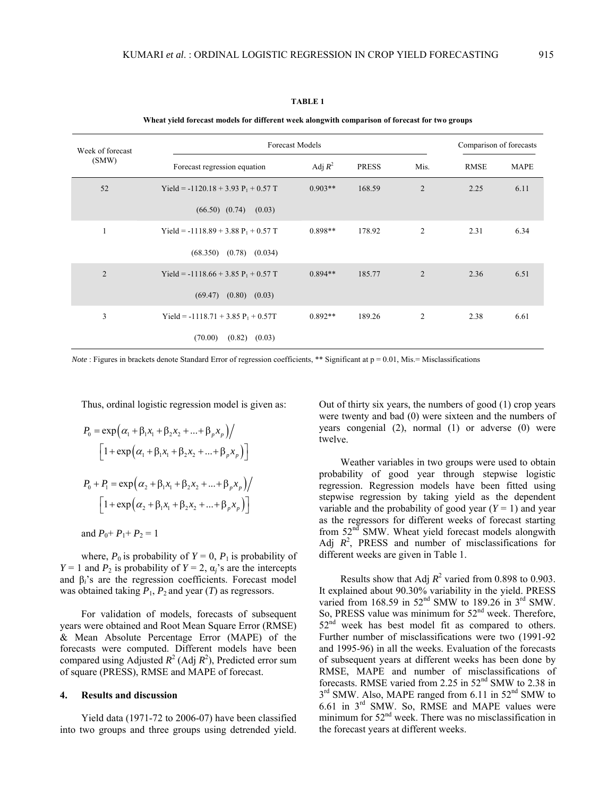### **TABLE 1**

**Wheat yield forecast models for different week alongwith comparison of forecast for two groups** 

| Week of forecast<br>(SMW) | <b>Forecast Models</b>                 | Comparison of forecasts |              |                |             |             |
|---------------------------|----------------------------------------|-------------------------|--------------|----------------|-------------|-------------|
|                           | Forecast regression equation           | Adj $R^2$               | <b>PRESS</b> | Mis.           | <b>RMSE</b> | <b>MAPE</b> |
| 52                        | Yield = $-1120.18 + 3.93 P_1 + 0.57 T$ | $0.903**$               | 168.59       | $\overline{2}$ | 2.25        | 6.11        |
|                           | $(66.50)$ $(0.74)$<br>(0.03)           |                         |              |                |             |             |
| $\mathbf{1}$              | Yield = $-1118.89 + 3.88 P_1 + 0.57 T$ | $0.898**$               | 178.92       | $\overline{c}$ | 2.31        | 6.34        |
|                           | $(68.350)$ $(0.78)$ $(0.034)$          |                         |              |                |             |             |
| $\overline{2}$            | Yield = $-1118.66 + 3.85 P_1 + 0.57 T$ | $0.894**$               | 185.77       | $\overline{2}$ | 2.36        | 6.51        |
|                           | $(0.80)$ $(0.03)$<br>(69.47)           |                         |              |                |             |             |
| 3                         | Yield = $-1118.71 + 3.85 P_1 + 0.57T$  | $0.892**$               | 189.26       | $\overline{2}$ | 2.38        | 6.61        |
|                           | (70.00)<br>(0.82)<br>(0.03)            |                         |              |                |             |             |

*Note*: Figures in brackets denote Standard Error of regression coefficients, \*\* Significant at p = 0.01, Mis.= Misclassifications

Thus, ordinal logistic regression model is given as:

$$
P_0 = \exp(\alpha_1 + \beta_1 x_1 + \beta_2 x_2 + ... + \beta_p x_p) / \n\left[1 + \exp(\alpha_1 + \beta_1 x_1 + \beta_2 x_2 + ... + \beta_p x_p)\right] \nP_0 + P_1 = \exp(\alpha_2 + \beta_1 x_1 + \beta_2 x_2 + ... + \beta_p x_p) / \n\left[1 + \exp(\alpha_2 + \beta_1 x_1 + \beta_2 x_2 + ... + \beta_p x_p)\right]
$$

and 
$$
P_0 + P_1 + P_2 = 1
$$

where,  $P_0$  is probability of  $Y = 0$ ,  $P_1$  is probability of *Y* = 1 and *P*<sub>2</sub> is probability of *Y* = 2,  $\alpha$ <sup>*j*</sup>'s are the intercepts and β*i*'s are the regression coefficients. Forecast model was obtained taking  $P_1$ ,  $P_2$  and year (*T*) as regressors.

For validation of models, forecasts of subsequent years were obtained and Root Mean Square Error (RMSE) & Mean Absolute Percentage Error (MAPE) of the forecasts were computed. Different models have been compared using Adjusted  $R^2$  (Adj  $R^2$ ), Predicted error sum of square (PRESS), RMSE and MAPE of forecast.

# **4. Results and discussion**

Yield data (1971-72 to 2006-07) have been classified into two groups and three groups using detrended yield.

yea rs congenial (2), normal (1) or adverse (0) were twe lve. Out of thirty six years, the numbers of good (1) crop years were twenty and bad (0) were sixteen and the numbers of

Weather variables in two groups were used to obtain probability of good year through stepwise logistic regression. Regression models have been fitted using stepwise regression by taking yield as the dependent variable and the probability of good year  $(Y = 1)$  and year as the regressors for different weeks of forecast starting from 52<sup>nd</sup> SMW. Wheat yield forecast models alongwith Adj  $R^2$ , PRESS and number of misclassifications for different weeks are given in Table 1.

Results show that Adj  $R^2$  varied from 0.898 to 0.903. It explained about 90.30% variability in the yield. PRESS varied from 168.59 in  $52<sup>nd</sup>$  SMW to 189.26 in  $3<sup>rd</sup>$  SMW. So, PRESS value was minimum for 52<sup>nd</sup> week. Therefore,  $52<sup>nd</sup>$  week has best model fit as compared to others. Further number of misclassifications were two (1991-92 and 1995-96) in all the weeks. Evaluation of the forecasts of subsequent years at different weeks has been done by RMSE, MAPE and number of misclassifications of forecasts. RMSE varied from 2.25 in 52nd SMW to 2.38 in 3<sup>rd</sup> SMW. Also, MAPE ranged from 6.11 in 52<sup>nd</sup> SMW to 6.61 in  $3<sup>rd</sup>$  SMW. So, RMSE and MAPE values were minimum for 52<sup>nd</sup> week. There was no misclassification in the forecast years at different weeks.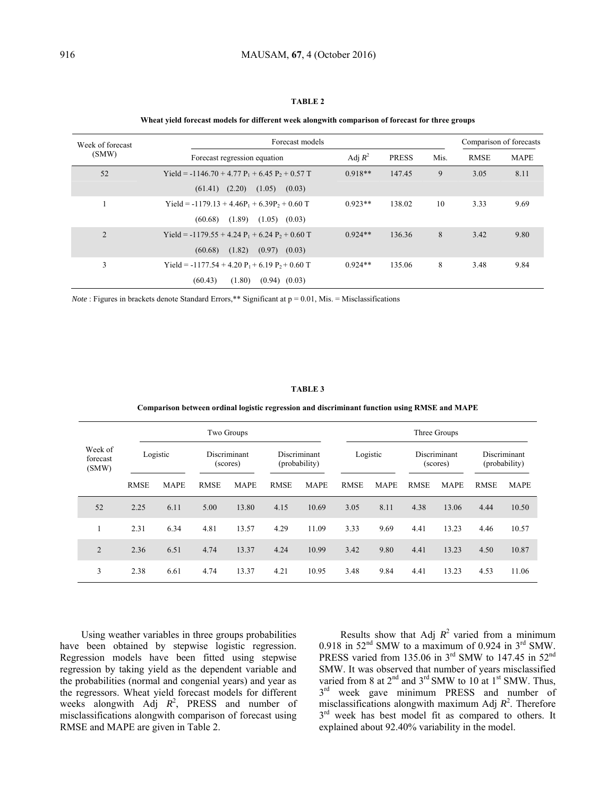# **TABLE 2**

#### **Wheat yield forecast models for different week alongwith comparison of forecast for three groups**

| Week of forecast<br>(SMW) | Forecast models                                     | Comparison of forecasts |              |      |             |             |
|---------------------------|-----------------------------------------------------|-------------------------|--------------|------|-------------|-------------|
|                           | Forecast regression equation                        | Adj $R^2$               | <b>PRESS</b> | Mis. | <b>RMSE</b> | <b>MAPE</b> |
| 52                        | Yield = $-1146.70 + 4.77 P_1 + 6.45 P_2 + 0.57 T$   | $0.918**$               | 147.45       | 9    | 3.05        | 8.11        |
|                           | (2.20)<br>(1.05)<br>(61.41)<br>(0.03)               |                         |              |      |             |             |
|                           | Yield = $-1179.13 + 4.46P_1 + 6.39P_2 + 0.60 T$     | $0.923**$               | 138.02       | 10   | 3.33        | 9.69        |
|                           | (1.89)<br>$(1.05)$ $(0.03)$<br>(60.68)              |                         |              |      |             |             |
| $\overline{2}$            | Yield = -1179.55 + 4.24 $P_1$ + 6.24 $P_2$ + 0.60 T | $0.924**$               | 136.36       | 8    | 3.42        | 9.80        |
|                           | (1.82)<br>(60.68)<br>(0.97)<br>(0.03)               |                         |              |      |             |             |
| 3                         | Yield = $-1177.54 + 4.20 P_1 + 6.19 P_2 + 0.60 T$   | $0.924**$               | 135.06       | 8    | 3.48        | 9.84        |
|                           | (1.80)<br>(60.43)<br>$(0.94)$ $(0.03)$              |                         |              |      |             |             |

*Note* : Figures in brackets denote Standard Errors,\*\* Significant at p = 0.01, Mis. = Misclassifications

### **TABLE 3**

| Comparison between ordinal logistic regression and discriminant function using RMSE and MAPE |  |  |  |
|----------------------------------------------------------------------------------------------|--|--|--|
|                                                                                              |  |  |  |

|                              |             | Two Groups  |             |                          |             |                               | Three Groups |             |             |                          |             |                               |  |
|------------------------------|-------------|-------------|-------------|--------------------------|-------------|-------------------------------|--------------|-------------|-------------|--------------------------|-------------|-------------------------------|--|
| Week of<br>forecast<br>(SMW) |             | Logistic    |             | Discriminant<br>(scores) |             | Discriminant<br>(probability) |              | Logistic    |             | Discriminant<br>(scores) |             | Discriminant<br>(probability) |  |
|                              | <b>RMSE</b> | <b>MAPE</b> | <b>RMSE</b> | <b>MAPE</b>              | <b>RMSE</b> | <b>MAPE</b>                   | <b>RMSE</b>  | <b>MAPE</b> | <b>RMSE</b> | <b>MAPE</b>              | <b>RMSE</b> | <b>MAPE</b>                   |  |
| 52                           | 2.25        | 6.11        | 5.00        | 13.80                    | 4.15        | 10.69                         | 3.05         | 8.11        | 4.38        | 13.06                    | 4.44        | 10.50                         |  |
|                              | 2.31        | 6.34        | 4.81        | 13.57                    | 4.29        | 11.09                         | 3.33         | 9.69        | 4.41        | 13.23                    | 4.46        | 10.57                         |  |
| $\overline{2}$               | 2.36        | 6.51        | 4.74        | 13.37                    | 4.24        | 10.99                         | 3.42         | 9.80        | 4.41        | 13.23                    | 4.50        | 10.87                         |  |
| 3                            | 2.38        | 6.61        | 4.74        | 13.37                    | 4.21        | 10.95                         | 3.48         | 9.84        | 4.41        | 13.23                    | 4.53        | 11.06                         |  |

Using weather variables in three groups probabilities have been obtained by stepwise logistic regression. Regression models have been fitted using stepwise regression by taking yield as the dependent variable and the probabilities (normal and congenial years) and year as the regressors. Wheat yield forecast models for different weeks alongwith Adj  $R^2$ , PRESS and number of misclassifications alongwith comparison of forecast using RMSE and MAPE are given in Table 2.

Results show that Adj  $R^2$  varied from a minimum 0.918 in  $52<sup>nd</sup>$  SMW to a maximum of 0.924 in  $3<sup>rd</sup>$  SMW. PRESS varied from 135.06 in 3<sup>rd</sup> SMW to 147.45 in 52<sup>nd</sup> SMW. It was observed that number of years misclassified varied from 8 at  $2<sup>nd</sup>$  and  $3<sup>rd</sup>$  SMW to 10 at 1<sup>st</sup> SMW. Thus,  $3<sup>rd</sup>$  week gave minimum PRESS and number of misclassifications alongwith maximum Adj  $R^2$ . Therefore  $3<sup>rd</sup>$  week has best model fit as compared to others. It explained about 92.40% variability in the model.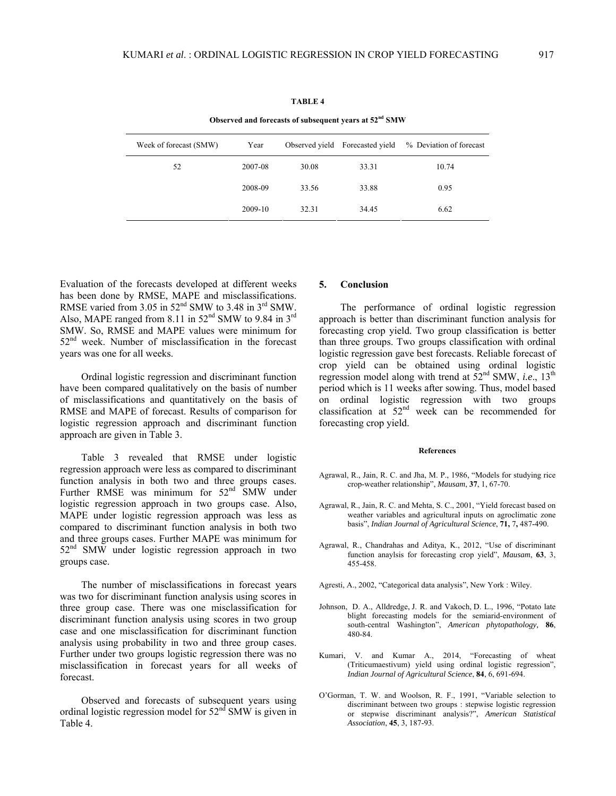| Observed and forecasts of subsequent years at 52 <sup>nd</sup> SMW |         |                |                  |                         |  |  |  |  |
|--------------------------------------------------------------------|---------|----------------|------------------|-------------------------|--|--|--|--|
| Week of forecast (SMW)                                             | Year    | Observed yield | Forecasted yield | % Deviation of forecast |  |  |  |  |
| 52                                                                 | 2007-08 | 30.08          | 33.31            | 10.74                   |  |  |  |  |
|                                                                    | 2008-09 | 33.56          | 33.88            | 0.95                    |  |  |  |  |
|                                                                    | 2009-10 | 32.31          | 34.45            | 6.62                    |  |  |  |  |

#### **TABLE 4**

Evaluation of the forecasts developed at different weeks has been done by RMSE, MAPE and misclassifications. RMSE varied from  $3.05$  in  $52<sup>nd</sup>$  SMW to  $3.48$  in  $3<sup>rd</sup>$  SMW. Also, MAPE ranged from 8.11 in  $52<sup>nd</sup>$  SMW to 9.84 in  $3<sup>rd</sup>$ SMW. So, RMSE and MAPE values were minimum for  $52<sup>nd</sup>$  week. Number of misclassification in the forecast years was one for all weeks.

Ordinal logistic regression and discriminant function have been compared qualitatively on the basis of number of misclassifications and quantitatively on the basis of RMSE and MAPE of forecast. Results of comparison for logistic regression approach and discriminant function approach are given in Table 3.

Table 3 revealed that RMSE under logistic regression approach were less as compared to discriminant function analysis in both two and three groups cases. Further RMSE was minimum for  $52<sup>nd</sup>$  SMW under logistic regression approach in two groups case. Also, MAPE under logistic regression approach was less as compared to discriminant function analysis in both two and three groups cases. Further MAPE was minimum for 52<sup>nd</sup> SMW under logistic regression approach in two groups case.

The number of misclassifications in forecast years was two for discriminant function analysis using scores in three group case. There was one misclassification for discriminant function analysis using scores in two group case and one misclassification for discriminant function analysis using probability in two and three group cases. Further under two groups logistic regression there was no misclassification in forecast years for all weeks of forecast.

Observed and forecasts of subsequent years using ordinal logistic regression model for  $52<sup>nd</sup>$  SMW is given in Table 4.

# **5. Conclusion**

The performance of ordinal logistic regression approach is better than discriminant function analysis for forecasting crop yield. Two group classification is better than three groups. Two groups classification with ordinal logistic regression gave best forecasts. Reliable forecast of crop yield can be obtained using ordinal logistic regression model along with trend at 52nd SMW, *i.e*., 13th period which is 11 weeks after sowing. Thus, model based on ordinal logistic regression with two groups classification at  $52<sup>nd</sup>$  week can be recommended for forecasting crop yield.

#### **References**

- Agrawal, R., Jain, R. C. and Jha, M. P., 1986, "Models for studying rice crop-weather relationship", *Mausam*, **37**, 1, 67-70.
- Agrawal, R., Jain, R. C. and Mehta, S. C., 2001, "Yield forecast based on weather variables and agricultural inputs on agroclimatic zone basis", *Indian Journal of Agricultural Science*, **71,** 7**,** 487-490.
- Agrawal, R., Chandrahas and Aditya, K., 2012, "Use of discriminant function anaylsis for forecasting crop yield", *Mausam*, **63**, 3, 455-458.
- Agresti, A., 2002, "Categorical data analysis", New York : Wiley.
- Johnson, D. A., Alldredge, J. R. and Vakoch, D. L., 1996, "Potato late blight forecasting models for the semiarid-environment of south-central Washington", *American phytopathology,* **86**, 480-84.
- Kumari, V. and Kumar A., 2014, "Forecasting of wheat (Triticumaestivum) yield using ordinal logistic regression", *Indian Journal of Agricultural Science*, **84**, 6, 691-694.
- O'Gorman, T. W. and Woolson, R. F., 1991, "Variable selection to discriminant between two groups : stepwise logistic regression or stepwise discriminant analysis?", *American Statistical Association*, **45**, 3, 187-93.